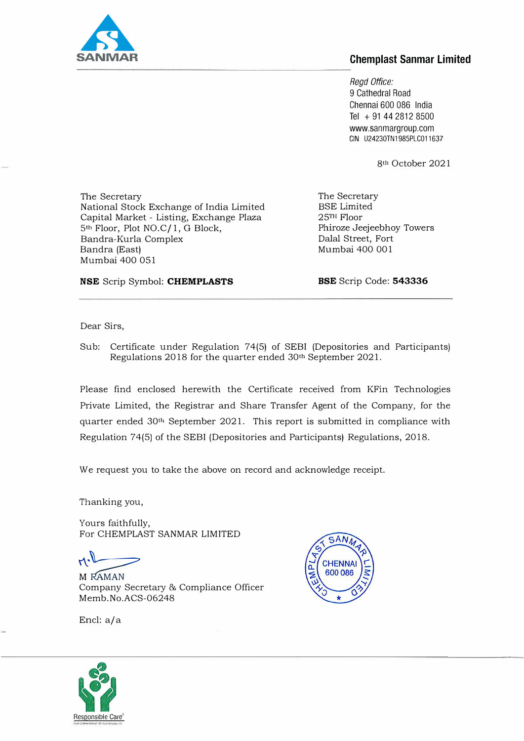

## **Chemplast Sanmar Limited**

*Regd Office:*  9 Cathedral Road Chennai 600 086 India Tel + 91 44 2812 8500 www.sanmargroup.com GIN U24230TN1985PLC011637

8<sup>th</sup> October 2021

The Secretary National Stock Exchange of India Limited Capital Market - Listing, Exchange Plaza 5lh Floor, Plot *NO.Cf* 1, G Block, Bandra-Kurla Complex Bandra (East) Mumbai 400 051

The Secretary BSE Limited 25TH Floor Phiroze Jeejeebhoy Towers Dalal Street, Fort Mumbai 400 001

NSE Scrip Symbol: CHEMPLASTS

BSE Scrip Code: 543336

Dear Sirs,

Sub: Certificate under Regulation 74(5) of SEBI (Depositories and Participants) Regulations 2018 for the quarter ended 30th September 2021.

Please find enclosed herewith the Certificate received from KFin Technologies Private Limited, the Registrar and Share Transfer Agent of the Company, for the quarter ended 30<sup>th</sup> September 2021. This report is submitted in compliance with Regulation 74(5) of the SEBI (Depositories and Participants) Regulations, 2018.

We request you to take the above on record and acknowledge receipt.

Thanking you,

Yours faithfully, For CHEMPLAST SANMAR LIMITED

 $H^1$ 

M RAMAN Company Secretary & Compliance Officer Memb.No.ACS-06248



Encl: a/a

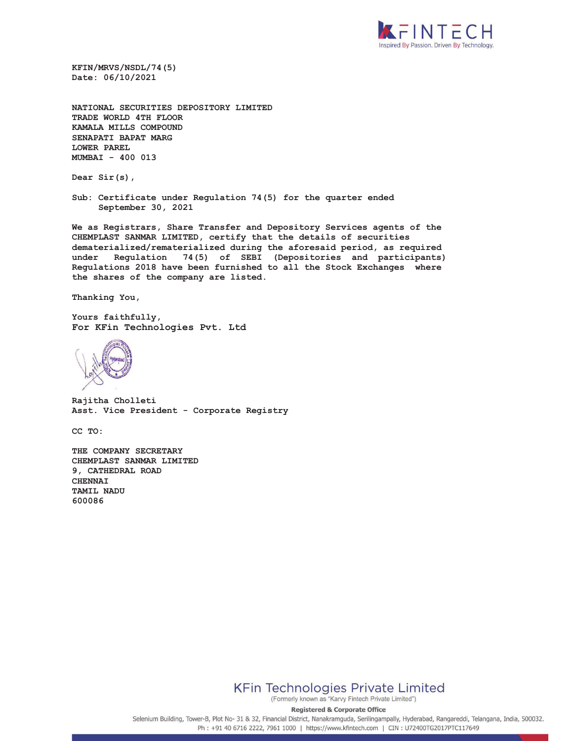

**KFIN/MRVS/NSDL/74(5) Date: 06/10/2021** 

**NATIONAL SECURITIES DEPOSITORY LIMITED TRADE WORLD 4TH FLOOR KAMALA MILLS COMPOUND SENAPATI BAPAT MARG LOWER PAREL MUMBAI - 400 013** 

**Dear Sir(s),** 

**Sub: Certificate under Regulation 74(5) for the quarter ended September 30, 2021** 

**We as Registrars, Share Transfer and Depository Services agents of the CHEMPLAST SANMAR LIMITED, certify that the details of securities dematerialized/rematerialized during the aforesaid period, as required under Regulation 74(5) of SEBI (Depositories and participants) Regulations 2018 have been furnished to all the Stock Exchanges where the shares of the company are listed.** 

**Thanking You,** 

**Yours faithfully, For KFin Technologies Pvt. Ltd** 



**Rajitha Cholleti Asst. Vice President - Corporate Registry** 

**CC TO:** 

**THE COMPANY SECRETARY CHEMPLAST SANMAR LIMITED 9, CATHEDRAL ROAD CHENNAI TAMIL NADU 600086** 



(Formerly known as "Karvy Fintech Private Limited")

**Registered & Corporate Office** 

Selenium Building, Tower-B, Plot No- 31 & 32, Financial District, Nanakramguda, Serilingampally, Hyderabad, Rangareddi, Telangana, India, 500032. Ph: +91 40 6716 2222, 7961 1000 | https://www.kfintech.com | CIN: U72400TG2017PTC117649